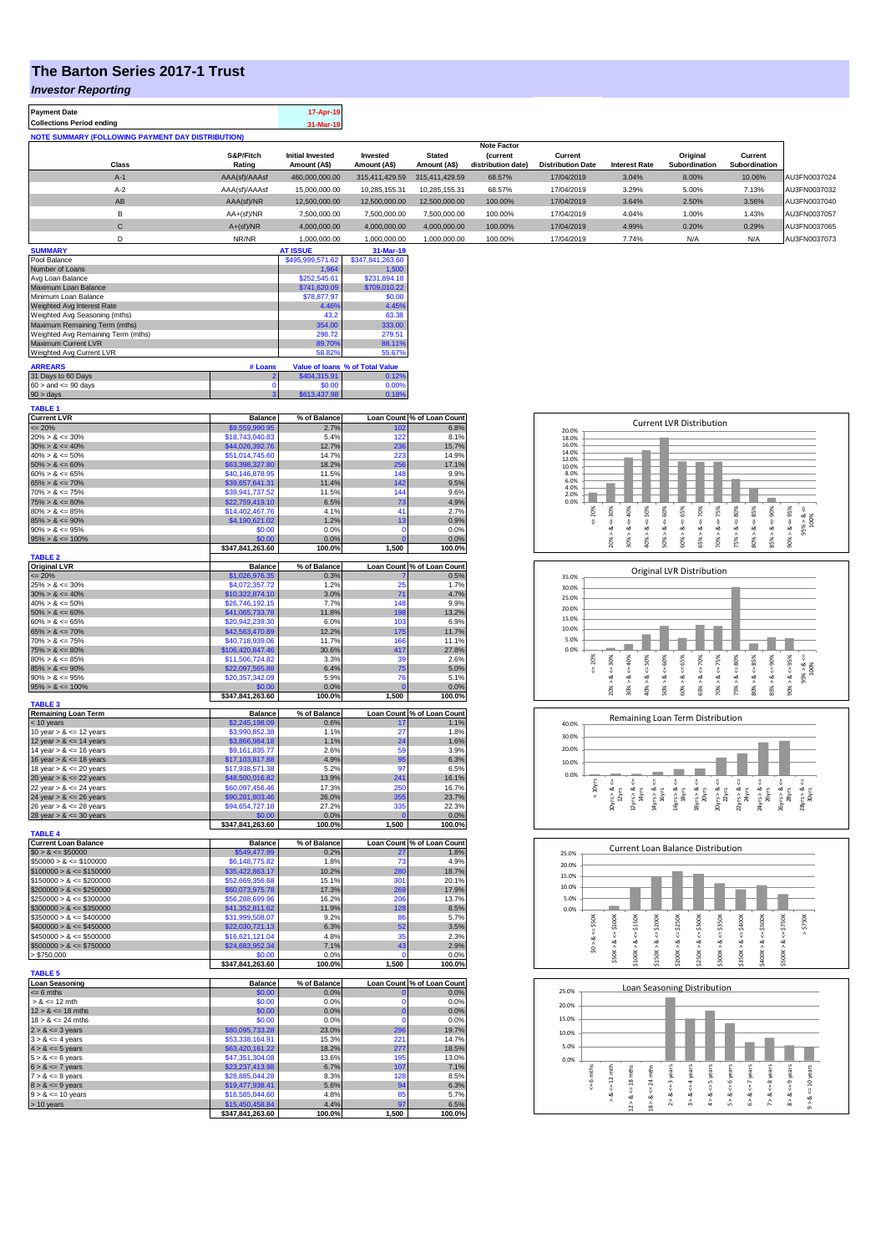## **The Barton Series 2017-1 Trust**

*Investor Reporting*

| <b>Payment Date</b>                                      |                     | 17-Apr-19                               |                          |                               |                                       |                                     |                      |                           |                          |              |
|----------------------------------------------------------|---------------------|-----------------------------------------|--------------------------|-------------------------------|---------------------------------------|-------------------------------------|----------------------|---------------------------|--------------------------|--------------|
| <b>Collections Period ending</b>                         |                     | 31-Mar-19                               |                          |                               |                                       |                                     |                      |                           |                          |              |
| <b>NOTE SUMMARY (FOLLOWING PAYMENT DAY DISTRIBUTION)</b> |                     |                                         |                          |                               |                                       |                                     |                      |                           |                          |              |
|                                                          |                     |                                         |                          |                               | <b>Note Factor</b>                    |                                     |                      |                           |                          |              |
| Class                                                    | S&P/Fitch<br>Rating | <b>Initial Invested</b><br>Amount (A\$) | Invested<br>Amount (A\$) | <b>Stated</b><br>Amount (A\$) | <b>(current</b><br>distribution date) | Current<br><b>Distribution Date</b> | <b>Interest Rate</b> | Original<br>Subordination | Current<br>Subordination |              |
| $A-1$                                                    | AAA(sf)/AAAsf       | 460,000,000.00                          | 315,411,429.59           | 315.411.429.59                | 68.57%                                | 17/04/2019                          | 3.04%                | 8.00%                     | 10.06%                   | AU3FN0037024 |
| $A-2$                                                    | AAA(sf)/AAAsf       | 15,000,000.00                           | 10,285,155.31            | 10.285.155.31                 | 68.57%                                | 17/04/2019                          | 3.29%                | 5.00%                     | 7.13%                    | AU3FN0037032 |
| AB                                                       | AAA(sf)/NR          | 12,500,000.00                           | 12,500,000.00            | 12.500.000.00                 | 100.00%                               | 17/04/2019                          | 3.64%                | 2.50%                     | 3.56%                    | AU3FN0037040 |
| в                                                        | $AA+(sf)/NR$        | 7,500,000.00                            | 7,500,000.00             | 7.500.000.00                  | 100.00%                               | 17/04/2019                          | 4.04%                | 1.00%                     | 1.43%                    | AU3FN0037057 |

| C                                  | $A+(sf)/NR$ | 4,000,000.00     | 4,000,000.00                    | 4.000.000.00 | 100.00% | 17/04/2019 | 4.99% | 0.20% | 0.29% | AU3FN0037065 |
|------------------------------------|-------------|------------------|---------------------------------|--------------|---------|------------|-------|-------|-------|--------------|
| D                                  | NR/NR       | 1,000,000.00     | 1,000,000.00                    | 1.000.000.00 | 100.00% | 17/04/2019 | 7.74% | N/A   | N/A   | AU3FN0037073 |
| <b>SUMMARY</b>                     |             | <b>AT ISSUE</b>  | 31-Mar-19                       |              |         |            |       |       |       |              |
| Pool Balance                       |             | \$495,999,571.62 | \$347,841,263.60                |              |         |            |       |       |       |              |
| Number of Loans                    |             | 1,964            | 1,500                           |              |         |            |       |       |       |              |
| Avg Loan Balance                   |             | \$252,545.61     | \$231,894.18                    |              |         |            |       |       |       |              |
| Maximum Loan Balance               |             | \$741,620.09     | \$709,010.22                    |              |         |            |       |       |       |              |
| Minimum Loan Balance               |             | \$78,877.97      | \$0.00                          |              |         |            |       |       |       |              |
| Weighted Avg Interest Rate         |             | 4.46%            | 4.45%                           |              |         |            |       |       |       |              |
| Weighted Avg Seasoning (mths)      |             | 43.2             | 63.38                           |              |         |            |       |       |       |              |
| Maximum Remaining Term (mths)      |             | 354.00           | 333.00                          |              |         |            |       |       |       |              |
| Weighted Avg Remaining Term (mths) |             | 298.72           | 279.51                          |              |         |            |       |       |       |              |
| Maximum Current LVR                |             | 89.70%           | 88.11%                          |              |         |            |       |       |       |              |
| Weighted Avg Current LVR           |             | 58.82%           | 55.67%                          |              |         |            |       |       |       |              |
| <b>ARREARS</b>                     | # Loans     |                  | Value of Ioans % of Total Value |              |         |            |       |       |       |              |
| 31 Days to 60 Days                 |             | \$404,315.91     | 0.12%                           |              |         |            |       |       |       |              |
| $60 >$ and $\leq 90$ days          |             | \$0.00           | 0.00%                           |              |         |            |       |       |       |              |
| $90 > \text{days}$                 |             | \$613,437.98     | 0.18%                           |              |         |            |       |       |       |              |

| <b>TABLE 1</b>                                          |                                     |                |                |                                    |
|---------------------------------------------------------|-------------------------------------|----------------|----------------|------------------------------------|
| <b>Current LVR</b>                                      | <b>Balance</b>                      | % of Balance   |                | Loan Count % of Loan Count         |
| $= 20%$                                                 | \$9,559,990.95                      | 2.7%           | 102            | 6.8%                               |
| $20\% > 8 \le 30\%$                                     | \$18,743,040.83                     | 5.4%           | 122            | 8.1%                               |
| $30\% > 8 \le 40\%$                                     | \$44,026,392.76                     | 12.7%          | 236            | 15.7%                              |
| $40\% > 8 \le 50\%$                                     | \$51,014,745.60                     | 14.7%          | 223            | 14.9%                              |
| $50\% > 8 \le 60\%$                                     | \$63,398,327.80                     | 18.2%          | 256            | 17.1%                              |
| $60\% > 8 \le 65\%$                                     | \$40,146,878.95                     | 11.5%          | 148            | 9.9%                               |
| $65\% > 8 \le 70\%$                                     | \$39,657,641.31                     | 11.4%          | 142            | 9.5%                               |
| $70\% > 8 \le 75\%$                                     | \$39,941,737.52                     | 11.5%          | 144            | 9.6%                               |
| $75\% > 8 \le 80\%$                                     | \$22,759,419.10                     | 6.5%           | 73             | 4.9%                               |
| $80\% > 8 \le 85\%$                                     | \$14,402,467.76                     | 4.1%           | 41             | 2.7%                               |
| $85\% > 8 \le 90\%$                                     | \$4,190,621.02                      | 1.2%           | 13             | 0.9%                               |
| $90\% > 8 \le 95\%$                                     | \$0.00                              | 0.0%           | $\mathbf 0$    | 0.0%                               |
| $95\% > 8 \le 100\%$                                    | \$0.00                              | 0.0%           | $\overline{0}$ | 0.0%                               |
|                                                         | \$347,841,263.60                    | 100.0%         | 1,500          | 100.0%                             |
| <b>TABLE 2</b><br><b>Original LVR</b>                   | <b>Balance</b>                      | % of Balance   |                |                                    |
| $= 20%$                                                 | \$1,026,976.35                      | 0.3%           |                | Loan Count % of Loan Count<br>0.5% |
| $25\% > 8 \le 30\%$                                     | \$4,072,357.72                      | 1.2%           | 25             | 1.7%                               |
| $30\% > 8 \le 40\%$                                     | \$10,322,874.10                     | 3.0%           | 71             | 4.7%                               |
| $40\% > 8 \le 50\%$                                     | \$26,746,192.15                     | 7.7%           | 148            | 9.9%                               |
| $50\% > 8 \le 60\%$                                     | \$41,065,733.78                     | 11.8%          | 198            | 13.2%                              |
| $60\% > 8 \le 65\%$                                     | \$20,942,239.30                     | 6.0%           | 103            | 6.9%                               |
| $65\% > 8 \le 70\%$                                     | \$42,563,470.89                     | 12.2%          | 175            | 11.7%                              |
| $70\% > 8 \le 75\%$                                     | \$40,718,939.06                     | 11.7%          | 166            | 11.1%                              |
| $75\% > 8 \le 80\%$                                     | \$106,420,847.46                    | 30.6%          | 417            | 27.8%                              |
| $80\% > 8 \le 85\%$                                     | \$11,506,724.82                     | 3.3%           | 39             | 2.6%                               |
| $85\% > 8 \le 90\%$                                     | \$22,097,565.88                     | 6.4%           | 75             | 5.0%                               |
| $90\% > 8 \le 95\%$                                     | \$20,357,342.09                     | 5.9%           | 76             | 5.1%                               |
| $95\% > 8 \le 100\%$                                    | \$0.00                              | 0.0%           |                | 0.0%                               |
|                                                         | \$347,841,263.60                    | 100.0%         | 1,500          | 100.0%                             |
| <b>TABLE 3</b>                                          |                                     |                |                |                                    |
| <b>Remaining Loan Term</b>                              | <b>Balance</b>                      | % of Balance   |                | Loan Count % of Loan Count         |
| < 10 years                                              | \$2,245,198.09                      | 0.6%           | 17             | 1.1%                               |
| 10 year $> 8 \le 12$ years                              | \$3,990,852.38                      | 1.1%           | 27             | 1.8%                               |
| 12 year $> 8 \le 14$ years                              | \$3,866,984.18                      | 1.1%           | 24             | 1.6%                               |
| 14 year $> 8 \le 16$ years                              | \$9.161.835.77                      | 2.6%           | 59             | 3.9%                               |
| 16 year $> 8 \le 18$ years                              | \$17,103,817.88                     | 4.9%           | 95             | 6.3%                               |
| 18 year $> 8 \le 20$ years                              | \$17,938,571.38                     | 5.2%           | 97             | 6.5%                               |
| 20 year $> 8 \le 22$ years                              | \$48,500,016.82                     | 13.9%          | 241            | 16.1%                              |
| 22 year $> 8 \le 24$ years                              | \$60,097,456.46                     | 17.3%          | 250            | 16.7%                              |
| 24 year $> 8 \le 26$ years                              | \$90,281,803.46                     | 26.0%          | 355            | 23.7%                              |
| $26$ year $> 8 \le 28$ years                            | \$94,654,727.18                     | 27.2%          | 335            | 22.3%                              |
| 28 year $> 8 \le 30$ years                              | \$0.00                              | 0.0%           | $\sqrt{ }$     | 0.0%                               |
|                                                         | \$347,841,263.60                    | 100.0%         | 1,500          | 100.0%                             |
| <b>TABLE 4</b>                                          |                                     |                |                |                                    |
| <b>Current Loan Balance</b>                             | <b>Balance</b>                      | % of Balance   |                | Loan Count % of Loan Count         |
| $$0 > 8 \le $50000$                                     | \$549,477.99                        | 0.2%           | 27             | 1.8%                               |
| $$50000 > 8 \le $100000$                                | \$6,148,775.82                      | 1.8%           | 73<br>280      | 4.9%                               |
| $$100000 > 8 \le $150000$<br>$$150000 > 8 \le $200000$  | \$35,422,863.17<br>\$52,669,356.68  | 10.2%<br>15.1% | 301            | 18.7%<br>20.1%                     |
|                                                         |                                     | 17.3%          | 269            | 17.9%                              |
| $$200000 > 8 \le $250000$<br>$$250000 > 8 \leq $300000$ | \$60,073,975.78<br>\$56,288,699.96  | 16.2%          | 206            | 13.7%                              |
| $$300000 > 8 \leq $350000$                              | \$41,352,811.62                     | 11.9%          | 128            | 8.5%                               |
| $$350000 > 8 \leq $400000$                              | \$31,999,508.07                     | 9.2%           | 86             | 5.7%                               |
| $$400000 > 8 \le $450000$                               | \$22,030,721.13                     | 6.3%           | 52             | 3.5%                               |
| $$450000 > 8 \le $500000$                               | \$16,621,121.04                     | 4.8%           | 35             | 2.3%                               |
| $$500000 > 8 \le $750000$                               |                                     |                | 43             | 2.9%                               |
| > \$750,000                                             | \$24,683,952.34<br>\$0.00           | 7.1%<br>0.0%   |                | 0.0%                               |
|                                                         | \$347,841,263.60                    | 100.0%         | 1,500          | 100.0%                             |
| <b>TABLE 5</b>                                          |                                     |                |                |                                    |
| <b>Loan Seasoning</b>                                   | <b>Balance</b>                      | % of Balance   |                | Loan Count % of Loan Count         |
| $= 6$ mths                                              | \$0.00                              | 0.0%           | n              | 0.0%                               |
| $> 8 \le 12$ mth                                        | \$0.00                              | 0.0%           | $\mathbf 0$    | 0.0%                               |
| $12 > 8 \le 18$ mths                                    | \$0.00                              | 0.0%           | $\overline{0}$ | 0.0%                               |
| $18 > 8 \le 24$ mths                                    | \$0.00                              | 0.0%           | $\mathbf 0$    | 0.0%                               |
| $2 > 8 \le 3$ years                                     | \$80,095,733.28                     | 23.0%          | 296            | 19.7%                              |
| $3 > 8 \le 4$ years                                     | \$53,338,164.91                     | 15.3%          | 221            | 14.7%                              |
| $4 > 8 \le 5$ years                                     | \$63,420,161.22                     | 18.2%          | 277            | 18.5%                              |
| $5 > 8 \le 6$ years                                     | \$47,351,304.08                     | 13.6%          | 195            | 13.0%                              |
| $6 > 8 \le 7$ years                                     | \$23,237,413.98                     | 6.7%           | 107            | 7.1%                               |
| $7 > 8 \le 8$ years                                     | \$28,885,044.28                     | 8.3%           | 128            | 8.5%                               |
| $8 > 8 \leq 9$ vears                                    | \$19,477,938.41                     | 5.6%           | 94             | 6.3%                               |
|                                                         |                                     |                |                |                                    |
|                                                         |                                     |                |                |                                    |
| $9 > 8 \le 10$ years                                    | \$16,585,044.60                     | 4.8%           | 85             |                                    |
| $> 10$ years                                            | \$15,450,458.84<br>\$347,841,263.60 | 4.4%<br>100.0% | 97<br>1,500    | 5.7%<br>6.5%<br>100.0%             |

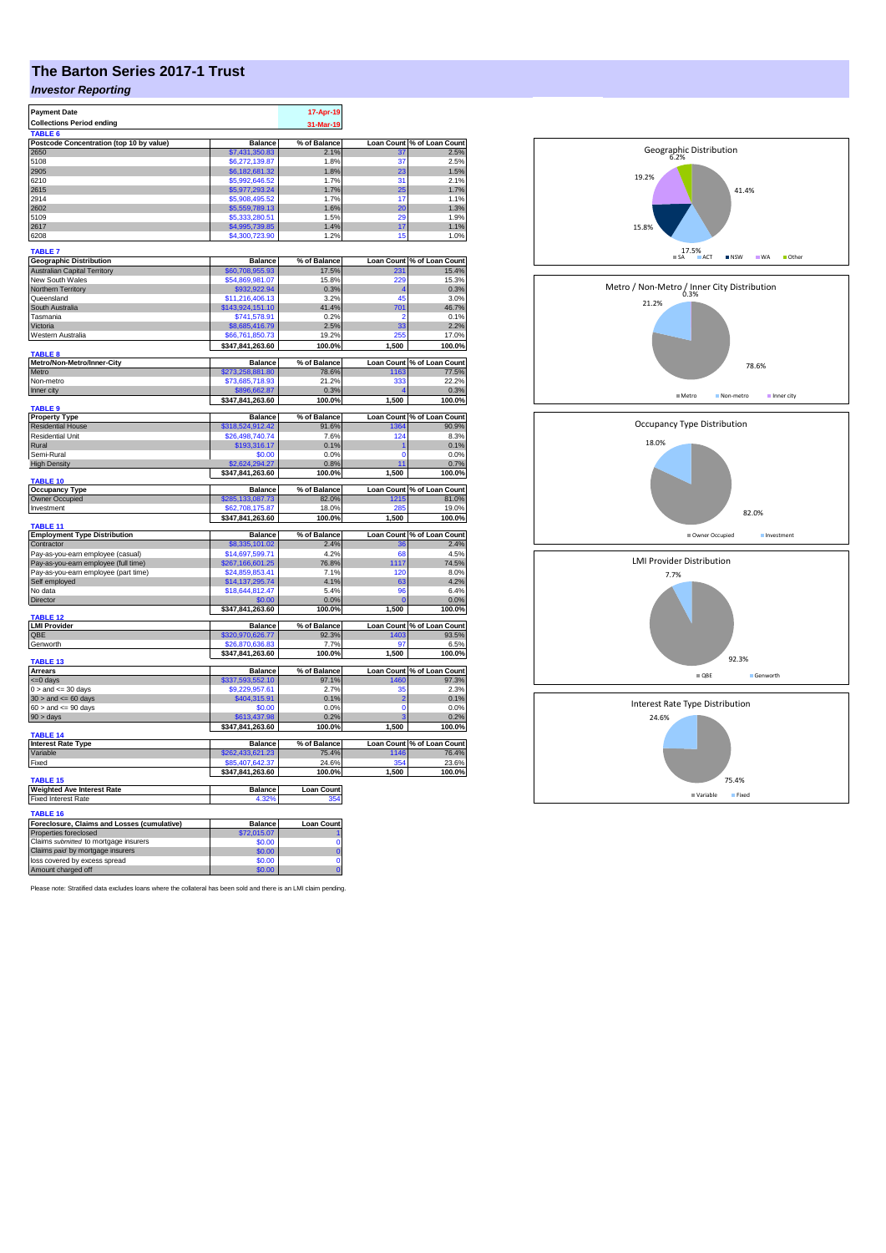## **The Barton Series 2017-1 Trust**

## *Investor Reporting*

| <b>Payment Date</b><br><b>Collections Period ending</b>              | 17-Apr-19                           |                       |                |                                     |
|----------------------------------------------------------------------|-------------------------------------|-----------------------|----------------|-------------------------------------|
| <b>TARLE 6</b>                                                       |                                     | 31-Mar-19             |                |                                     |
| Postcode Concentration (top 10 by value)                             | <b>Balance</b>                      | % of Balance          |                | Loan Count % of Loan Count          |
| 2650<br>5108                                                         | \$7,431,350.83<br>\$6,272,139.87    | 2.1%<br>1.8%          | 31<br>37       | 2.5%<br>2.5%                        |
| 2905                                                                 | \$6,182,681.32                      | 1.8%                  | 23             | 1.5%                                |
| 6210                                                                 | \$5,992,646.52                      | 1.7%                  | 31             | 2.1%                                |
| 2615                                                                 | \$5,977,293.24                      | 1.7%                  | 25             | 1.7%                                |
| 2914                                                                 | \$5,908,495.52                      | 1.7%                  | 17             | 1.1%                                |
| 2602                                                                 | \$5,559,789.13                      | 1.6%                  | 20             | 1.3%                                |
| 5109<br>2617                                                         | \$5,333,280.51                      | 1.5%<br>1.4%          | 29<br>17       | 1.9%<br>1.1%                        |
| 6208                                                                 | \$4,995,739.85<br>\$4,300,723.90    | 1.2%                  | 15             | 1.0%                                |
|                                                                      |                                     |                       |                |                                     |
| <b>TABLE 7</b><br><b>Geographic Distribution</b>                     | <b>Balance</b>                      | % of Balance          |                | Loan Count % of Loan Count          |
| <b>Australian Capital Territory</b>                                  | \$60,708,955.93                     | 17.5%                 | 231            | 15.4%                               |
| New South Wales                                                      | \$54,869,981.07                     | 15.8%                 | 229            | 15.3%                               |
| Northern Territory                                                   | \$932,922.94                        | 0.3%                  |                | 0.3%                                |
| Queensland                                                           | \$11,216,406.13                     | 3.2%                  | 45             | 3.0%                                |
| South Australia                                                      | \$143,924,151.10                    | 41.4%                 | 701            | 46.7%                               |
| Tasmania<br>Victoria                                                 | \$741,578.91                        | 0.2%<br>2.5%          | 2<br>33        | 0.1%<br>2.2%                        |
| Western Australia                                                    | 68,685,416.79<br>\$66,761,850.73    | 19.2%                 | つらら            | 17.0%                               |
|                                                                      | \$347,841,263.60                    | 100.0%                | 1,500          | 100.0%                              |
| <b>TABLE 8</b>                                                       |                                     |                       |                |                                     |
| Metro/Non-Metro/Inner-City<br>Metro                                  | <b>Balance</b><br>\$273,258,881.80  | % of Balance<br>78.6% | 1163           | Loan Count % of Loan Count<br>77.5% |
| Non-metro                                                            | \$73,685,718.93                     | 21.2%                 | 333            | 22.2%                               |
| Inner city                                                           | \$896,662.87                        | 0.3%                  |                | 0.3%                                |
| TABLE <sub>9</sub>                                                   | \$347,841,263.60                    | 100.0%                | 1,500          | 100.0%                              |
| <b>Property Type</b>                                                 | <b>Balance</b>                      | % of Balance          |                | Loan Count % of Loan Count          |
| <b>Residential House</b>                                             | \$318,524,912.42                    | 91.6%                 | 1364           | 90.9%                               |
| Residential Unit                                                     | \$26,498,740.74                     | 7.6%                  | 124            | 8.3%                                |
| Rural                                                                | \$193,316.17                        | 0.1%                  |                | 0.1%                                |
| Semi-Rural                                                           | \$0.00<br>\$2.624.294.27            | 0.0%                  | n              | 0.0%                                |
| <b>High Density</b>                                                  | \$347,841,263.60                    | 0.8%<br>100.0%        | 11<br>1,500    | 0.7%<br>100.0%                      |
| TABLE 10                                                             |                                     |                       |                |                                     |
| <b>Occupancy Type</b>                                                | <b>Balance</b>                      | % of Balance          |                | Loan Count % of Loan Count          |
| Owner Occupied                                                       | \$285,133,087.73                    | 82.0%                 | 1215<br>28     | 81.0%                               |
| Investment                                                           | \$62,708,175.87<br>\$347,841,263.60 | 18.0%<br>100.0%       | 1,500          | 19.0%<br>100.0%                     |
| TABLE 11                                                             |                                     |                       |                |                                     |
| <b>Employment Type Distribution</b>                                  | <b>Balance</b>                      | % of Balance          |                | Loan Count % of Loan Count          |
| Contractor<br>Pay-as-you-earn employee (casual)                      | \$8,335,101.02<br>\$14,697,599.71   | 2.4%<br>4.2%          | 36<br>68       | 2.4%<br>4.5%                        |
| Pay-as-you-earn employee (full time)                                 | \$267,166,601.25                    | 76.8%                 | 1117           | 74.5%                               |
| Pay-as-you-earn employee (part time)                                 | \$24,859,853.41                     | 7.1%                  | 120            | 8.0%                                |
| Self employed                                                        | \$14,137,295.74                     | 4.1%                  | 63             | 4.2%                                |
| No data                                                              | \$18,644,812.47                     | 5.4%                  | 96             | 6.4%                                |
| Director                                                             | \$0.00                              | 0.0%                  | $\mathbf{0}$   | 0.0%                                |
| <b>TABLE 12</b>                                                      | \$347,841,263.60                    | 100.0%                | 1,500          | 100.0%                              |
| <b>LMI Provider</b>                                                  | <b>Balance</b>                      | % of Balance          |                | Loan Count % of Loan Count          |
| OBE                                                                  | \$320,970,626.77                    | 92.3%                 | 1403           | 93.5%                               |
| Genworth                                                             | \$26,870,636.83                     | 7.7%                  | 97             | 6.5%                                |
| TABLE 13                                                             | \$347,841,263.60                    | 100.0%                | 1,500          | 100.0%                              |
| <b>Arrears</b>                                                       | <b>Balance</b>                      | % of Balance          |                | Loan Count % of Loan Count          |
| $= 0$ days                                                           | \$337,593,552.10                    | 97.1%                 | 1460           | 97.3%                               |
| $0 >$ and $\leq 30$ days                                             | \$9,229,957.61                      | 2.7%                  | 35             | 2.3%                                |
| $30 >$ and $\leq 60$ days                                            | \$404,315.91                        | 0.1%                  | $\overline{2}$ | 0.1%                                |
| $60 >$ and $\leq 90$ days                                            | \$0.00<br>\$613,437,98              | 0.0%<br>0.2%          | $\overline{0}$ | 0.0%<br>0.2%                        |
| $90 > \text{days}$                                                   | \$347,841,263.60                    | 100.0%                | 1,500          | 100.0%                              |
| TABLE <sub>14</sub>                                                  |                                     |                       |                |                                     |
| <b>Interest Rate Type</b>                                            | <b>Balance</b>                      | % of Balance          |                | Loan Count % of Loan Count          |
| Variable<br>Fixed                                                    | \$262,433,621.23<br>\$85,407,642.37 | 75.4%<br>24.6%        | 1146<br>354    | 76.4%<br>23.6%                      |
|                                                                      | \$347,841,263.60                    | 100.0%                | 1,500          | 100.0%                              |
| TABLE <sub>15</sub>                                                  |                                     |                       |                |                                     |
| <b>Weighted Ave Interest Rate</b>                                    | Balance                             | <b>Loan Count</b>     |                |                                     |
| <b>Fixed Interest Rate</b>                                           | 4.32                                |                       |                |                                     |
| <b>TABLE 16</b>                                                      |                                     |                       |                |                                     |
| Foreclosure, Claims and Losses (cumulative)<br>Properties foreclosed | <b>Balance</b><br>2,015.07          | Loan Count            |                |                                     |
| Claims submitted to mortgage insurers                                | \$0.00                              | Ò                     |                |                                     |
| Claims paid by mortgage insurers                                     | \$0.00                              | $\overline{0}$        |                |                                     |
| loss covered by excess spread                                        | \$0.00                              | Ō                     |                |                                     |
| Amount charged off                                                   | \$0.00                              | $\overline{0}$        |                |                                     |

Please note: Stratified data excludes loans where the collateral has been sold and there is an LMI claim pending.